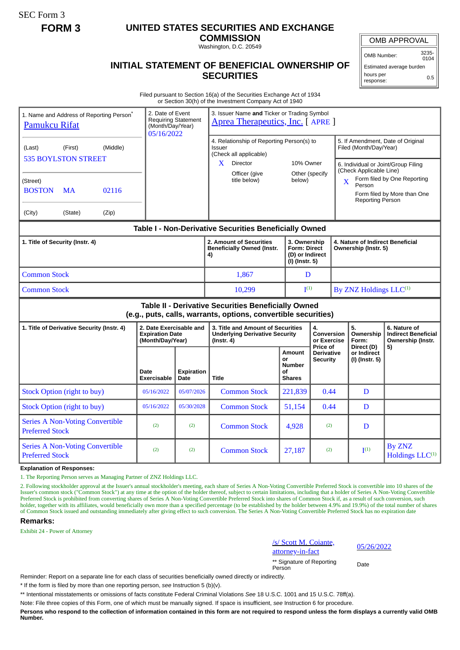SEC Form 3

# **FORM 3 UNITED STATES SECURITIES AND EXCHANGE**

**COMMISSION** Washington, D.C. 20549

### OMB APPROVAL

OMB Number: 3235- 0104

Estimated average burden hours per response: 0.5

## **INITIAL STATEMENT OF BENEFICIAL OWNERSHIP OF SECURITIES**

Filed pursuant to Section 16(a) of the Securities Exchange Act of 1934 or Section 30(h) of the Investment Company Act of 1940

| 2. Date of Event<br>1. Name and Address of Reporting Person <sup>*</sup><br><b>Requiring Statement</b><br><b>Pamukcu Rifat</b><br>(Month/Day/Year)<br>05/16/2022 |                                        |                                                                       |                           | 3. Issuer Name and Ticker or Trading Symbol<br>Aprea Therapeutics, Inc. [ APRE ]                                                                  |                                                                          |                                                  |                                                                                                                                                                   |                                                          |                                                                 |
|------------------------------------------------------------------------------------------------------------------------------------------------------------------|----------------------------------------|-----------------------------------------------------------------------|---------------------------|---------------------------------------------------------------------------------------------------------------------------------------------------|--------------------------------------------------------------------------|--------------------------------------------------|-------------------------------------------------------------------------------------------------------------------------------------------------------------------|----------------------------------------------------------|-----------------------------------------------------------------|
| (Middle)<br>(First)<br>(Last)<br><b>535 BOYLSTON STREET</b><br>(Street)                                                                                          |                                        |                                                                       |                           | 4. Relationship of Reporting Person(s) to<br><b>Issuer</b><br>(Check all applicable)<br>Director<br>$\mathbf{X}$<br>Officer (give<br>title below) | 10% Owner<br>below)                                                      | Other (specify                                   | 5. If Amendment, Date of Original<br>Filed (Month/Day/Year)<br>6. Individual or Joint/Group Filing<br>(Check Applicable Line)<br>Form filed by One Reporting<br>X |                                                          |                                                                 |
| <b>BOSTON</b>                                                                                                                                                    | 02116<br>MA                            |                                                                       |                           |                                                                                                                                                   |                                                                          |                                                  |                                                                                                                                                                   | Person<br><b>Reporting Person</b>                        | Form filed by More than One                                     |
| (City)                                                                                                                                                           | (State)<br>(Zip)                       |                                                                       |                           |                                                                                                                                                   |                                                                          |                                                  |                                                                                                                                                                   |                                                          |                                                                 |
| Table I - Non-Derivative Securities Beneficially Owned                                                                                                           |                                        |                                                                       |                           |                                                                                                                                                   |                                                                          |                                                  |                                                                                                                                                                   |                                                          |                                                                 |
| 1. Title of Security (Instr. 4)                                                                                                                                  |                                        |                                                                       |                           | 2. Amount of Securities<br><b>Beneficially Owned (Instr.</b><br>4)                                                                                | 3. Ownership<br><b>Form: Direct</b><br>(D) or Indirect<br>(I) (Instr. 5) |                                                  |                                                                                                                                                                   | 4. Nature of Indirect Beneficial<br>Ownership (Instr. 5) |                                                                 |
| <b>Common Stock</b>                                                                                                                                              |                                        |                                                                       |                           | 1.867                                                                                                                                             |                                                                          | D                                                |                                                                                                                                                                   |                                                          |                                                                 |
| <b>Common Stock</b>                                                                                                                                              |                                        |                                                                       |                           | 10,299                                                                                                                                            | I <sup>(1)</sup>                                                         |                                                  |                                                                                                                                                                   | By ZNZ Holdings LLC <sup>(1)</sup>                       |                                                                 |
| Table II - Derivative Securities Beneficially Owned<br>(e.g., puts, calls, warrants, options, convertible securities)                                            |                                        |                                                                       |                           |                                                                                                                                                   |                                                                          |                                                  |                                                                                                                                                                   |                                                          |                                                                 |
| 1. Title of Derivative Security (Instr. 4)                                                                                                                       |                                        | 2. Date Exercisable and<br><b>Expiration Date</b><br>(Month/Day/Year) |                           | 3. Title and Amount of Securities<br><b>Underlying Derivative Security</b><br>(Instr. 4)                                                          |                                                                          | 4.<br>Conversion<br>or Exercise                  |                                                                                                                                                                   | 5.<br>Ownership<br>Form:                                 | 6. Nature of<br><b>Indirect Beneficial</b><br>Ownership (Instr. |
|                                                                                                                                                                  |                                        | Date<br><b>Exercisable</b>                                            | <b>Expiration</b><br>Date | <b>Title</b>                                                                                                                                      | Amount<br>or<br><b>Number</b><br>οf<br><b>Shares</b>                     | Price of<br><b>Derivative</b><br><b>Security</b> |                                                                                                                                                                   | Direct (D)<br>or Indirect<br>(I) (Instr. 5)              | 5)                                                              |
|                                                                                                                                                                  | <b>Stock Option (right to buy)</b>     | 05/16/2022                                                            | 05/07/2026                | <b>Common Stock</b>                                                                                                                               | 221,839                                                                  | 0.44                                             |                                                                                                                                                                   | D                                                        |                                                                 |
|                                                                                                                                                                  | <b>Stock Option (right to buy)</b>     | 05/16/2022                                                            | 05/30/2028                | <b>Common Stock</b>                                                                                                                               | 51,154                                                                   | 0.44                                             |                                                                                                                                                                   | D                                                        |                                                                 |
| <b>Preferred Stock</b>                                                                                                                                           | <b>Series A Non-Voting Convertible</b> | (2)                                                                   | (2)                       | <b>Common Stock</b>                                                                                                                               | 4,928                                                                    | (2)                                              |                                                                                                                                                                   | $\mathbf D$                                              |                                                                 |
| <b>Series A Non-Voting Convertible</b><br><b>Preferred Stock</b>                                                                                                 |                                        | (2)                                                                   | (2)                       | <b>Common Stock</b>                                                                                                                               | 27,187                                                                   | (2)                                              |                                                                                                                                                                   | $\mathbf{I}^{(1)}$                                       | By ZNZ<br>Holdings LLC <sup>(1)</sup>                           |

**Explanation of Responses:**

1. The Reporting Person serves as Managing Partner of ZNZ Holdings LLC.

2. Following stockholder approval at the Issuer's annual stockholder's meeting, each share of Series A Non-Voting Convertible Preferred Stock is convertible into 10 shares of the Issuer's common stock ("Common Stock") at any time at the option of the holder thereof, subject to certain limitations, including that a holder of Series A Non-Voting Convertible Preferred Stock is prohibited from converting shares of Series A Non-Voting Convertible Preferred Stock into shares of Common Stock if, as a result of such conversion, such holder, together with its affiliates, would beneficially own more than a specified percentage (to be established by the holder between 4.9% and 19.9%) of the total number of shares of Common Stock issued and outstanding immediately after giving effect to such conversion. The Series A Non-Voting Convertible Preferred Stock has no expiration date

#### **Remarks:**

Exhibit 24 - Power of Attorney

/s/ Scott M. Coiante, <u>s/S/SCOtt M. Colaine</u>, 05/26/2022<br>attorney-in-fact

\*\* Signature of Reporting Person Date

Reminder: Report on a separate line for each class of securities beneficially owned directly or indirectly.

\* If the form is filed by more than one reporting person, *see* Instruction 5 (b)(v).

\*\* Intentional misstatements or omissions of facts constitute Federal Criminal Violations *See* 18 U.S.C. 1001 and 15 U.S.C. 78ff(a).

Note: File three copies of this Form, one of which must be manually signed. If space is insufficient, *see* Instruction 6 for procedure.

**Persons who respond to the collection of information contained in this form are not required to respond unless the form displays a currently valid OMB Number.**